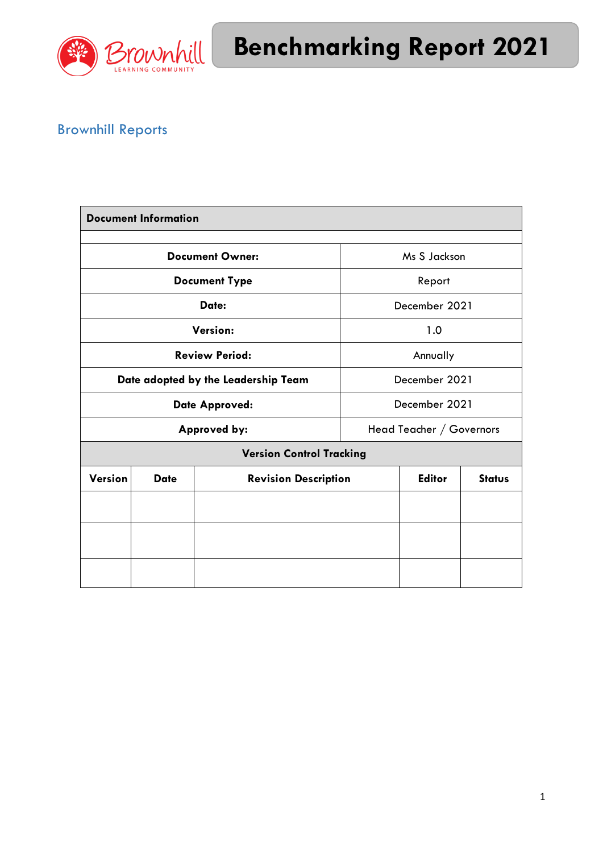

# Brownhill Reports

| <b>Document Information</b>         |             |                             |                          |               |               |
|-------------------------------------|-------------|-----------------------------|--------------------------|---------------|---------------|
| <b>Document Owner:</b>              |             |                             | Ms S Jackson             |               |               |
| <b>Document Type</b>                |             |                             | Report                   |               |               |
| Date:                               |             |                             | December 2021            |               |               |
| Version:                            |             |                             | 1.0                      |               |               |
| <b>Review Period:</b>               |             |                             | Annually                 |               |               |
| Date adopted by the Leadership Team |             |                             | December 2021            |               |               |
| <b>Date Approved:</b>               |             |                             | December 2021            |               |               |
| <b>Approved by:</b>                 |             |                             | Head Teacher / Governors |               |               |
| <b>Version Control Tracking</b>     |             |                             |                          |               |               |
| <b>Version</b>                      | <b>Date</b> | <b>Revision Description</b> |                          | <b>Editor</b> | <b>Status</b> |
|                                     |             |                             |                          |               |               |
|                                     |             |                             |                          |               |               |
|                                     |             |                             |                          |               |               |
|                                     |             |                             |                          |               |               |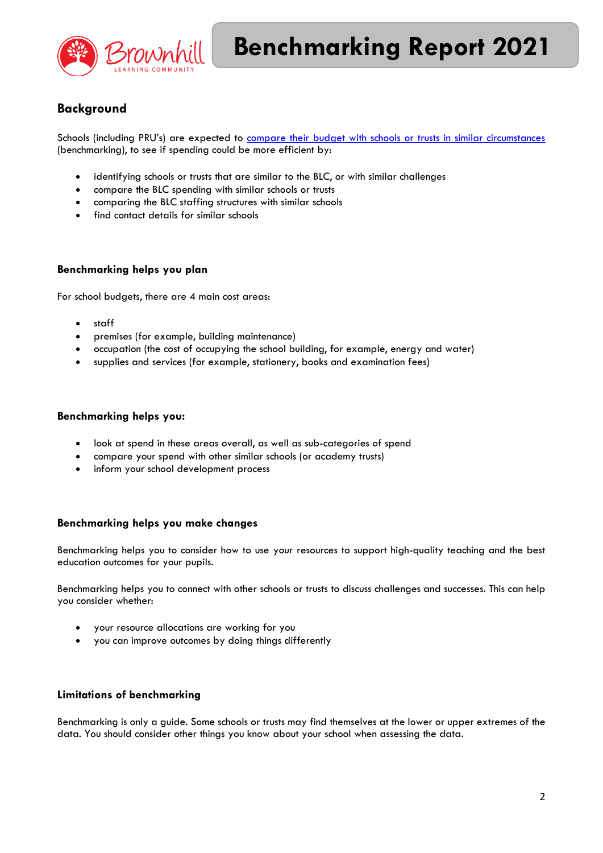

## **Background**

Schools (including PRU's) are expected to [compare their budget with schools or trusts in similar circumstances](https://schools-financial-benchmarking.service.gov.uk/) (benchmarking), to see if spending could be more efficient by:

- identifying schools or trusts that are similar to the BLC, or with similar challenges
- compare the BLC spending with similar schools or trusts
- comparing the BLC staffing structures with similar schools
- find contact details for similar schools

#### **Benchmarking helps you plan**

For school budgets, there are 4 main cost areas:

- staff
- premises (for example, building maintenance)
- occupation (the cost of occupying the school building, for example, energy and water)
- supplies and services (for example, stationery, books and examination fees)

#### **Benchmarking helps you:**

- look at spend in these areas overall, as well as sub-categories of spend
- compare your spend with other similar schools (or academy trusts)
- inform your school development process

#### **Benchmarking helps you make changes**

Benchmarking helps you to consider how to use your resources to support high-quality teaching and the best education outcomes for your pupils.

Benchmarking helps you to connect with other schools or trusts to discuss challenges and successes. This can help you consider whether:

- your resource allocations are working for you
- you can improve outcomes by doing things differently

#### **Limitations of benchmarking**

Benchmarking is only a guide. Some schools or trusts may find themselves at the lower or upper extremes of the data. You should consider other things you know about your school when assessing the data.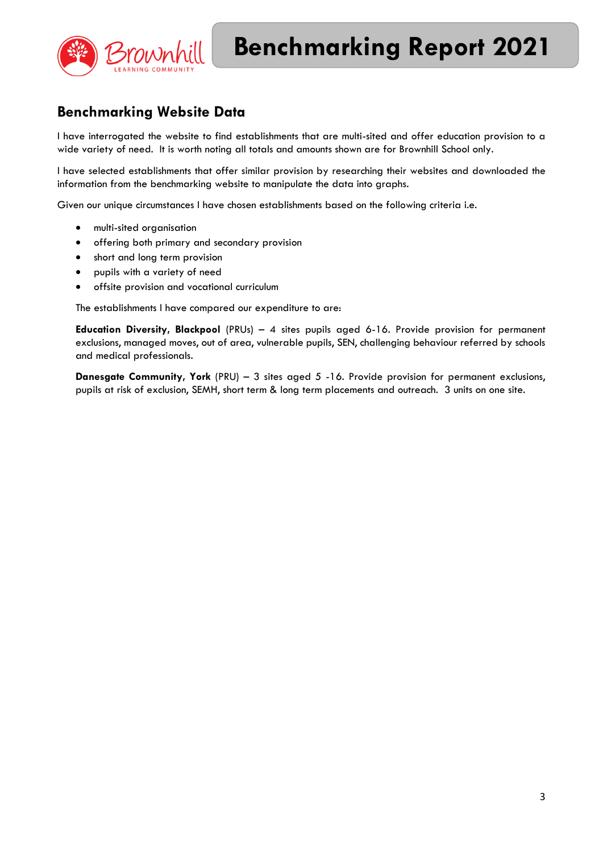

# **Benchmarking Website Data**

I have interrogated the website to find establishments that are multi-sited and offer education provision to a wide variety of need. It is worth noting all totals and amounts shown are for Brownhill School only.

I have selected establishments that offer similar provision by researching their websites and downloaded the information from the benchmarking website to manipulate the data into graphs.

Given our unique circumstances I have chosen establishments based on the following criteria i.e.

- multi-sited organisation
- offering both primary and secondary provision
- short and long term provision
- pupils with a variety of need
- offsite provision and vocational curriculum

The establishments I have compared our expenditure to are:

**Education Diversity, Blackpool** (PRUs) – 4 sites pupils aged 6-16. Provide provision for permanent exclusions, managed moves, out of area, vulnerable pupils, SEN, challenging behaviour referred by schools and medical professionals.

**Danesgate Community, York** (PRU) – 3 sites aged 5 -16. Provide provision for permanent exclusions, pupils at risk of exclusion, SEMH, short term & long term placements and outreach. 3 units on one site.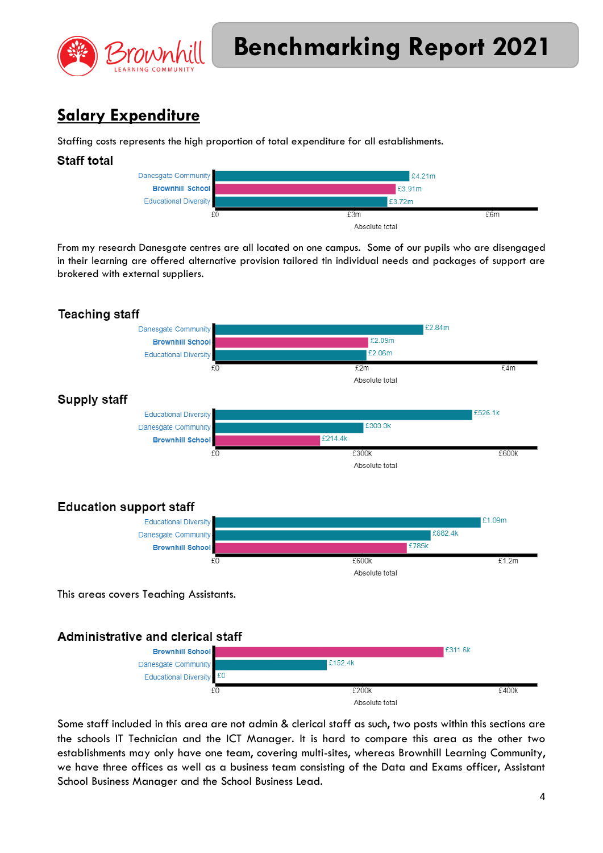

# **Salary Expenditure**

Staffing costs represents the high proportion of total expenditure for all establishments.



From my research Danesgate centres are all located on one campus. Some of our pupils who are disengaged in their learning are offered alternative provision tailored tin individual needs and packages of support are brokered with external suppliers.



Some staff included in this area are not admin & clerical staff as such, two posts within this sections are the schools IT Technician and the ICT Manager. It is hard to compare this area as the other two establishments may only have one team, covering multi-sites, whereas Brownhill Learning Community, we have three offices as well as a business team consisting of the Data and Exams officer, Assistant School Business Manager and the School Business Lead.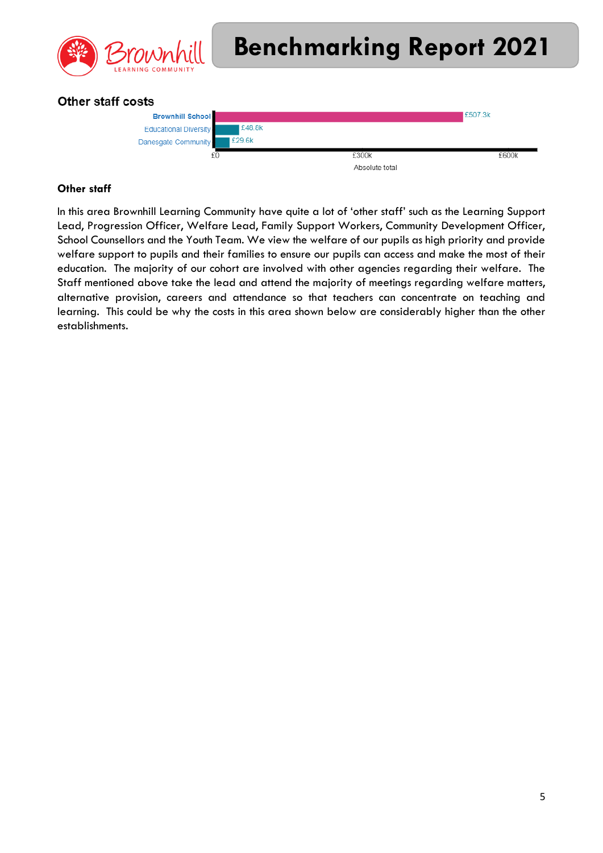

### Other staff costs



#### **Other staff**

In this area Brownhill Learning Community have quite a lot of 'other staff' such as the Learning Support Lead, Progression Officer, Welfare Lead, Family Support Workers, Community Development Officer, School Counsellors and the Youth Team. We view the welfare of our pupils as high priority and provide welfare support to pupils and their families to ensure our pupils can access and make the most of their education. The majority of our cohort are involved with other agencies regarding their welfare. The Staff mentioned above take the lead and attend the majority of meetings regarding welfare matters, alternative provision, careers and attendance so that teachers can concentrate on teaching and learning. This could be why the costs in this area shown below are considerably higher than the other establishments.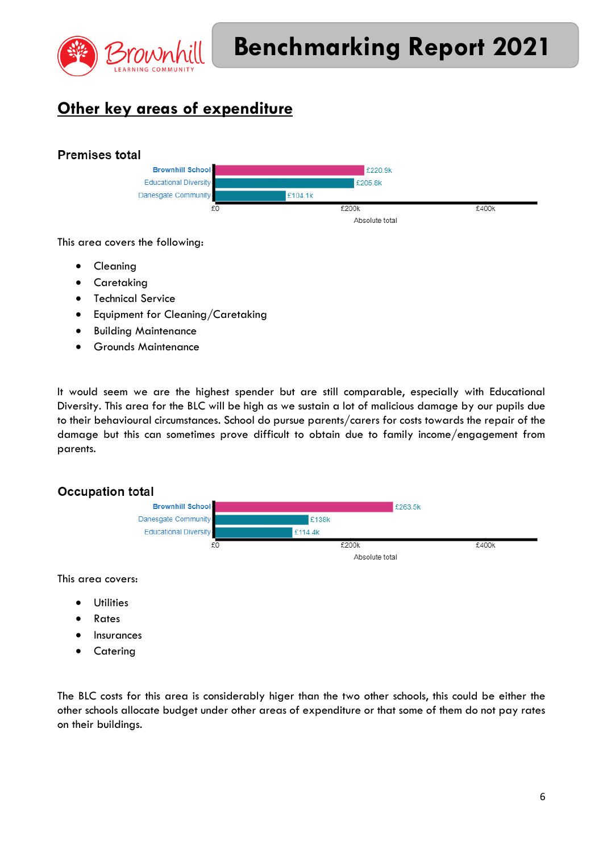

# **Other key areas of expenditure**

## **Premises total**



This area covers the following:

- **•** Cleaning
- **•** Caretaking
- Technical Service
- **•** Equipment for Cleaning/Caretaking
- **•** Building Maintenance
- Grounds Maintenance

It would seem we are the highest spender but are still comparable, especially with Educational Diversity. This area for the BLC will be high as we sustain a lot of malicious damage by our pupils due to their behavioural circumstances. School do pursue parents/carers for costs towards the repair of the damage but this can sometimes prove difficult to obtain due to family income/engagement from parents.

### **Occupation total**



This area covers:

- **•** Utilities
- Rates
- **•** Insurances
- **Catering**

The BLC costs for this area is considerably higer than the two other schools, this could be either the other schools allocate budget under other areas of expenditure or that some of them do not pay rates on their buildings.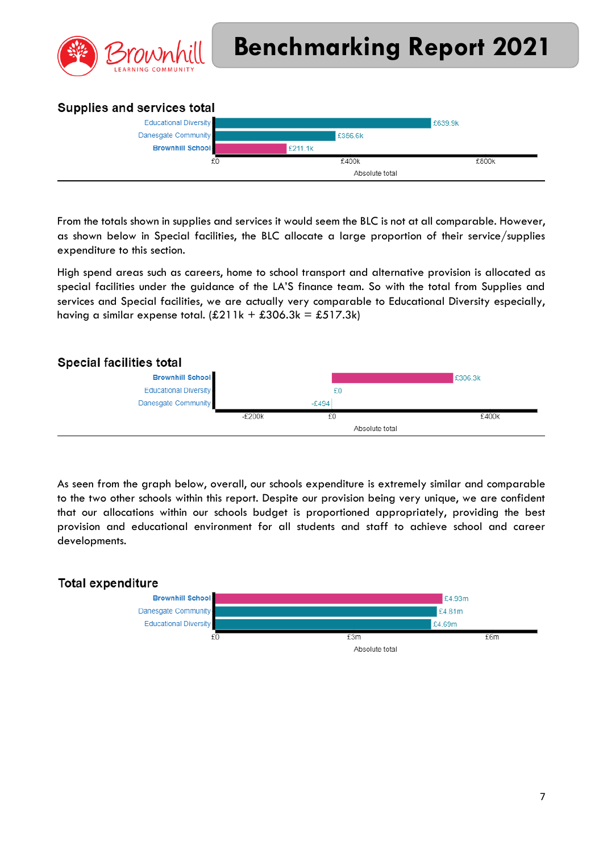

## Supplies and services total



From the totals shown in supplies and services it would seem the BLC is not at all comparable. However, as shown below in Special facilities, the BLC allocate a large proportion of their service/supplies expenditure to this section.

High spend areas such as careers, home to school transport and alternative provision is allocated as special facilities under the guidance of the LA'S finance team. So with the total from Supplies and services and Special facilities, we are actually very comparable to Educational Diversity especially, having a similar expense total.  $(E211k + E306.3k = E517.3k)$ 



As seen from the graph below, overall, our schools expenditure is extremely similar and comparable to the two other schools within this report. Despite our provision being very unique, we are confident that our allocations within our schools budget is proportioned appropriately, providing the best provision and educational environment for all students and staff to achieve school and career developments.